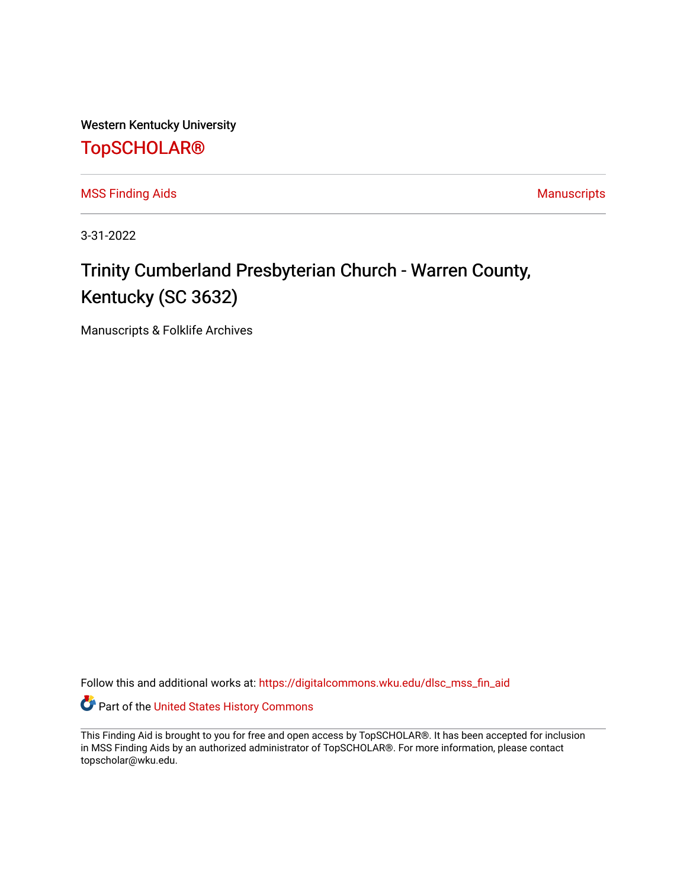Western Kentucky University

## [TopSCHOLAR®](https://digitalcommons.wku.edu/)

[MSS Finding Aids](https://digitalcommons.wku.edu/dlsc_mss_fin_aid) **MSS** Finding Aids **Manuscripts** Manuscripts

3-31-2022

# Trinity Cumberland Presbyterian Church - Warren County, Kentucky (SC 3632)

Manuscripts & Folklife Archives

Follow this and additional works at: [https://digitalcommons.wku.edu/dlsc\\_mss\\_fin\\_aid](https://digitalcommons.wku.edu/dlsc_mss_fin_aid?utm_source=digitalcommons.wku.edu%2Fdlsc_mss_fin_aid%2F5000&utm_medium=PDF&utm_campaign=PDFCoverPages) 

Part of the [United States History Commons](http://network.bepress.com/hgg/discipline/495?utm_source=digitalcommons.wku.edu%2Fdlsc_mss_fin_aid%2F5000&utm_medium=PDF&utm_campaign=PDFCoverPages) 

This Finding Aid is brought to you for free and open access by TopSCHOLAR®. It has been accepted for inclusion in MSS Finding Aids by an authorized administrator of TopSCHOLAR®. For more information, please contact topscholar@wku.edu.